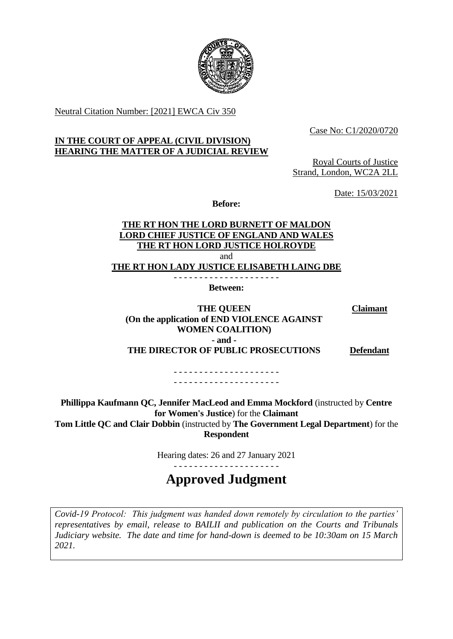

Neutral Citation Number: [2021] EWCA Civ 350

Case No: C1/2020/0720

# **IN THE COURT OF APPEAL (CIVIL DIVISION) HEARING THE MATTER OF A JUDICIAL REVIEW**

Royal Courts of Justice Strand, London, WC2A 2LL

Date: 15/03/2021

**Before:** 

# **THE RT HON THE LORD BURNETT OF MALDON LORD CHIEF JUSTICE OF ENGLAND AND WALES THE RT HON LORD JUSTICE HOLROYDE THE RT HON LADY JUSTICE ELISABETH LAING DBE**  and - - - - - - - - - - - - - - - - - - - - -

**Between:** 

 **(On the application of END VIOLENCE AGAINST THE DIRECTOR OF PUBLIC PROSECUTIONS THE QUEEN WOMEN COALITION) - and - Claimant** 

**Defendant** 

- - - - - - - - - - - - - - - - - - - - - - - - - - - - - - - - - - - - - - - - - -

 **Phillippa Kaufmann QC, Jennifer MacLeod and Emma Mockford** (instructed by **Centre for Women's Justice**) for the **Claimant Tom Little QC and Clair Dobbin** (instructed by **The Government Legal Department**) for the **Respondent**

Hearing dates: 26 and 27 January 2021

**Approved Judgment** 

- - - - - - - - - - - - - - - - - - - - -

 *Covid-19 Protocol: This judgment was handed down remotely by circulation to the parties' representatives by email, release to BAILII and publication on the Courts and Tribunals Judiciary website. The date and time for hand-down is deemed to be 10:30am on 15 March 2021.*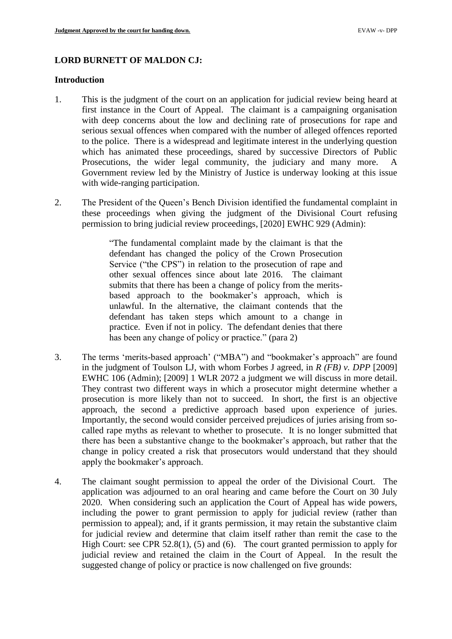# **LORD BURNETT OF MALDON CJ:**

### **Introduction**

- first instance in the Court of Appeal. The claimant is a campaigning organisation with deep concerns about the low and declining rate of prosecutions for rape and serious sexual offences when compared with the number of alleged offences reported to the police. There is a widespread and legitimate interest in the underlying question which has animated these proceedings, shared by successive Directors of Public Government review led by the Ministry of Justice is underway looking at this issue 1. This is the judgment of the court on an application for judicial review being heard at Prosecutions, the wider legal community, the judiciary and many more. A with wide-ranging participation.
- 2. The President of the Queen's Bench Division identified the fundamental complaint in these proceedings when giving the judgment of the Divisional Court refusing permission to bring judicial review proceedings, [2020] EWHC 929 (Admin):

 "The fundamental complaint made by the claimant is that the defendant has changed the policy of the Crown Prosecution other sexual offences since about late 2016. The claimant submits that there has been a change of policy from the merits- based approach to the bookmaker's approach, which is defendant has taken steps which amount to a change in practice. Even if not in policy. The defendant denies that there Service ("the CPS") in relation to the prosecution of rape and unlawful. In the alternative, the claimant contends that the has been any change of policy or practice." (para 2)

- 3. The terms 'merits-based approach' ("MBA") and "bookmaker's approach" are found EWHC 106 (Admin); [2009] 1 WLR 2072 a judgment we will discuss in more detail. They contrast two different ways in which a prosecutor might determine whether a prosecution is more likely than not to succeed. In short, the first is an objective called rape myths as relevant to whether to prosecute. It is no longer submitted that there has been a substantive change to the bookmaker's approach, but rather that the change in policy created a risk that prosecutors would understand that they should in the judgment of Toulson LJ, with whom Forbes J agreed, in *R (FB) v. DPP* [2009] approach, the second a predictive approach based upon experience of juries. Importantly, the second would consider perceived prejudices of juries arising from soapply the bookmaker's approach.
- 4. The claimant sought permission to appeal the order of the Divisional Court. The application was adjourned to an oral hearing and came before the Court on 30 July including the power to grant permission to apply for judicial review (rather than permission to appeal); and, if it grants permission, it may retain the substantive claim for judicial review and determine that claim itself rather than remit the case to the High Court: see CPR 52.8(1), (5) and (6). The court granted permission to apply for 2020. When considering such an application the Court of Appeal has wide powers, judicial review and retained the claim in the Court of Appeal. In the result the suggested change of policy or practice is now challenged on five grounds: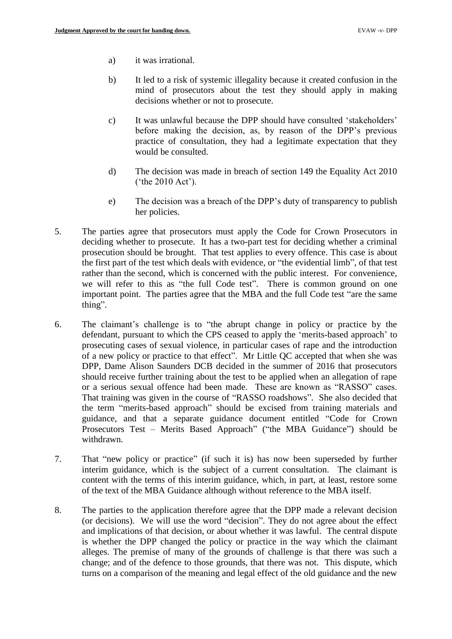- a) it was irrational.
- b) It led to a risk of systemic illegality because it created confusion in the mind of prosecutors about the test they should apply in making decisions whether or not to prosecute.
- c) It was unlawful because the DPP should have consulted 'stakeholders' before making the decision, as, by reason of the DPP's previous practice of consultation, they had a legitimate expectation that they would be consulted.
- d) The decision was made in breach of section 149 the Equality Act 2010 ('the 2010 Act').
- e) The decision was a breach of the DPP's duty of transparency to publish her policies.
- 5. The parties agree that prosecutors must apply the Code for Crown Prosecutors in deciding whether to prosecute. It has a two-part test for deciding whether a criminal prosecution should be brought. That test applies to every offence. This case is about we will refer to this as "the full Code test". There is common ground on one important point. The parties agree that the MBA and the full Code test "are the same the first part of the test which deals with evidence, or "the evidential limb", of that test rather than the second, which is concerned with the public interest. For convenience, thing".
- 6. The claimant's challenge is to "the abrupt change in policy or practice by the defendant, pursuant to which the CPS ceased to apply the 'merits-based approach' to of a new policy or practice to that effect". Mr Little QC accepted that when she was DPP, Dame Alison Saunders DCB decided in the summer of 2016 that prosecutors should receive further training about the test to be applied when an allegation of rape or a serious sexual offence had been made. These are known as "RASSO" cases. guidance, and that a separate guidance document entitled "Code for Crown Prosecutors Test – Merits Based Approach" ("the MBA Guidance") should be prosecuting cases of sexual violence, in particular cases of rape and the introduction That training was given in the course of "RASSO roadshows". She also decided that the term "merits-based approach" should be excised from training materials and withdrawn.
- 7. That "new policy or practice" (if such it is) has now been superseded by further interim guidance, which is the subject of a current consultation. The claimant is content with the terms of this interim guidance, which, in part, at least, restore some of the text of the MBA Guidance although without reference to the MBA itself.
- 8. The parties to the application therefore agree that the DPP made a relevant decision (or decisions). We will use the word "decision". They do not agree about the effect is whether the DPP changed the policy or practice in the way which the claimant alleges. The premise of many of the grounds of challenge is that there was such a turns on a comparison of the meaning and legal effect of the old guidance and the new and implications of that decision, or about whether it was lawful. The central dispute change; and of the defence to those grounds, that there was not. This dispute, which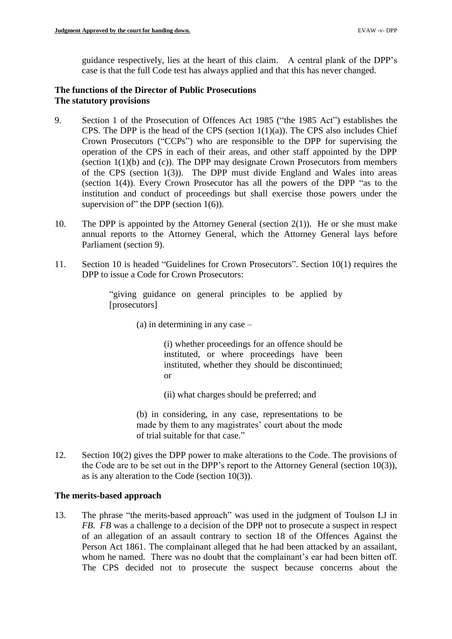guidance respectively, lies at the heart of this claim. A central plank of the DPP's case is that the full Code test has always applied and that this has never changed.

# **The functions of the Director of Public Prosecutions The statutory provisions**

- CPS. The DPP is the head of the CPS (section  $1(1)(a)$ ). The CPS also includes Chief Crown Prosecutors ("CCPs") who are responsible to the DPP for supervising the operation of the CPS in each of their areas, and other staff appointed by the DPP (section 1(1)(b) and (c)). The DPP may designate Crown Prosecutors from members of the CPS (section 1(3)). The DPP must divide England and Wales into areas (section 1(4)). Every Crown Prosecutor has all the powers of the DPP "as to the 9. Section 1 of the Prosecution of Offences Act 1985 ("the 1985 Act") establishes the institution and conduct of proceedings but shall exercise those powers under the supervision of" the DPP (section  $1(6)$ ).
- 10. The DPP is appointed by the Attorney General (section  $2(1)$ ). He or she must make annual reports to the Attorney General, which the Attorney General lays before Parliament (section 9).
- 11. Section 10 is headed "Guidelines for Crown Prosecutors". Section 10(1) requires the DPP to issue a Code for Crown Prosecutors:

"giving guidance on general principles to be applied by [prosecutors]

(a) in determining in any case –

 (i) whether proceedings for an offence should be instituted, or where proceedings have been instituted, whether they should be discontinued; or

(ii) what charges should be preferred; and

 (b) in considering, in any case, representations to be made by them to any magistrates' court about the mode of trial suitable for that case."

12. Section 10(2) gives the DPP power to make alterations to the Code. The provisions of the Code are to be set out in the DPP's report to the Attorney General (section 10(3)), as is any alteration to the Code (section 10(3)).

# **The merits-based approach**

13. The phrase "the merits-based approach" was used in the judgment of Toulson LJ in *FB. FB* was a challenge to a decision of the DPP not to prosecute a suspect in respect The CPS decided not to prosecute the suspect because concerns about the of an allegation of an assault contrary to section 18 of the Offences Against the Person Act 1861. The complainant alleged that he had been attacked by an assailant, whom he named. There was no doubt that the complainant's ear had been bitten off.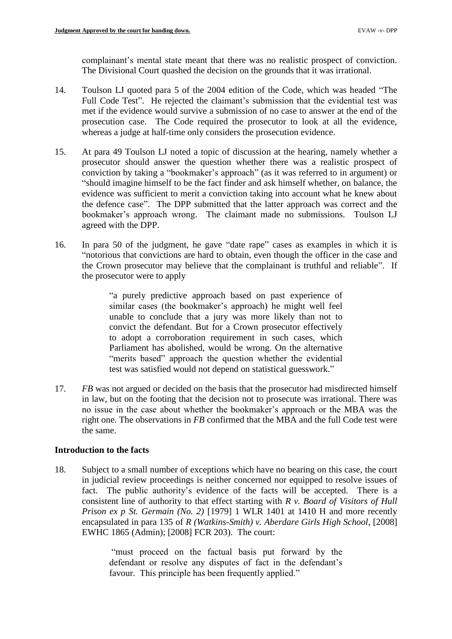complainant's mental state meant that there was no realistic prospect of conviction. The Divisional Court quashed the decision on the grounds that it was irrational.

- 14. Toulson LJ quoted para 5 of the 2004 edition of the Code, which was headed "The Full Code Test". He rejected the claimant's submission that the evidential test was met if the evidence would survive a submission of no case to answer at the end of the prosecution case. The Code required the prosecutor to look at all the evidence, whereas a judge at half-time only considers the prosecution evidence.
- 15. At para 49 Toulson LJ noted a topic of discussion at the hearing, namely whether a prosecutor should answer the question whether there was a realistic prospect of conviction by taking a "bookmaker's approach" (as it was referred to in argument) or "should imagine himself to be the fact finder and ask himself whether, on balance, the evidence was sufficient to merit a conviction taking into account what he knew about the defence case". The DPP submitted that the latter approach was correct and the bookmaker's approach wrong. The claimant made no submissions. Toulson LJ agreed with the DPP.
- 16. In para 50 of the judgment, he gave "date rape" cases as examples in which it is "notorious that convictions are hard to obtain, even though the officer in the case and the Crown prosecutor may believe that the complainant is truthful and reliable". If the prosecutor were to apply

 "a purely predictive approach based on past experience of similar cases (the bookmaker's approach) he might well feel unable to conclude that a jury was more likely than not to convict the defendant. But for a Crown prosecutor effectively to adopt a corroboration requirement in such cases, which Parliament has abolished, would be wrong. On the alternative "merits based" approach the question whether the evidential test was satisfied would not depend on statistical guesswork."

 in law, but on the footing that the decision not to prosecute was irrational. There was no issue in the case about whether the bookmaker's approach or the MBA was the 17. *FB* was not argued or decided on the basis that the prosecutor had misdirected himself right one. The observations in *FB* confirmed that the MBA and the full Code test were the same.

# **Introduction to the facts**

 18. Subject to a small number of exceptions which have no bearing on this case, the court in judicial review proceedings is neither concerned nor equipped to resolve issues of fact. The public authority's evidence of the facts will be accepted. There is a consistent line of authority to that effect starting with *R v. Board of Visitors of Hull Prison ex p St. Germain (No. 2)* [1979] 1 WLR 1401 at 1410 H and more recently encapsulated in para 135 of *R (Watkins-Smith) v. Aberdare Girls High School*, [2008] EWHC 1865 (Admin); [2008] FCR 203). The court:

> "must proceed on the factual basis put forward by the favour. This principle has been frequently applied." defendant or resolve any disputes of fact in the defendant's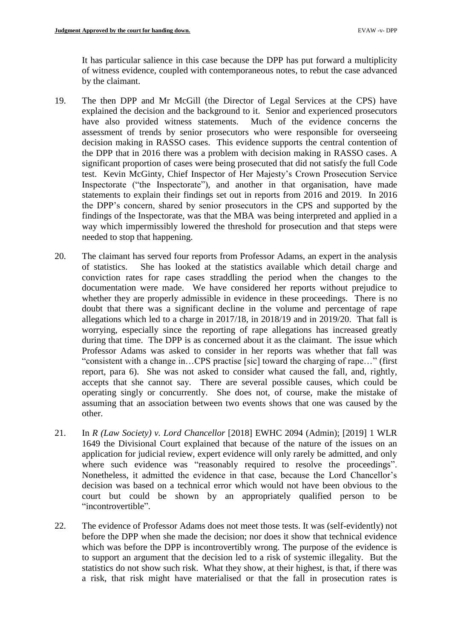It has particular salience in this case because the DPP has put forward a multiplicity of witness evidence, coupled with contemporaneous notes, to rebut the case advanced by the claimant.

- 19. The then DPP and Mr McGill (the Director of Legal Services at the CPS) have the DPP that in 2016 there was a problem with decision making in RASSO cases. A significant proportion of cases were being prosecuted that did not satisfy the full Code test. Kevin McGinty, Chief Inspector of Her Majesty's Crown Prosecution Service Inspectorate ("the Inspectorate"), and another in that organisation, have made the DPP's concern, shared by senior prosecutors in the CPS and supported by the findings of the Inspectorate, was that the MBA was being interpreted and applied in a way which impermissibly lowered the threshold for prosecution and that steps were explained the decision and the background to it. Senior and experienced prosecutors have also provided witness statements. Much of the evidence concerns the assessment of trends by senior prosecutors who were responsible for overseeing decision making in RASSO cases. This evidence supports the central contention of statements to explain their findings set out in reports from 2016 and 2019. In 2016 needed to stop that happening.
- conviction rates for rape cases straddling the period when the changes to the documentation were made. We have considered her reports without prejudice to whether they are properly admissible in evidence in these proceedings. There is no doubt that there was a significant decline in the volume and percentage of rape allegations which led to a charge in 2017/18, in 2018/19 and in 2019/20. That fall is worrying, especially since the reporting of rape allegations has increased greatly during that time. The DPP is as concerned about it as the claimant. The issue which Professor Adams was asked to consider in her reports was whether that fall was "consistent with a change in…CPS practise [sic] toward the charging of rape…" (first accepts that she cannot say. There are several possible causes, which could be operating singly or concurrently. She does not, of course, make the mistake of 20. The claimant has served four reports from Professor Adams, an expert in the analysis of statistics. She has looked at the statistics available which detail charge and report, para 6). She was not asked to consider what caused the fall, and, rightly, assuming that an association between two events shows that one was caused by the other.
- 21. In *R (Law Society) v. Lord Chancellor* [2018] EWHC 2094 (Admin); [2019] 1 WLR application for judicial review, expert evidence will only rarely be admitted, and only where such evidence was "reasonably required to resolve the proceedings". Nonetheless, it admitted the evidence in that case, because the Lord Chancellor's decision was based on a technical error which would not have been obvious to the court but could be shown by an appropriately qualified person to be 1649 the Divisional Court explained that because of the nature of the issues on an "incontrovertible".
- before the DPP when she made the decision; nor does it show that technical evidence which was before the DPP is incontrovertibly wrong. The purpose of the evidence is 22. The evidence of Professor Adams does not meet those tests. It was (self-evidently) not to support an argument that the decision led to a risk of systemic illegality. But the statistics do not show such risk. What they show, at their highest, is that, if there was a risk, that risk might have materialised or that the fall in prosecution rates is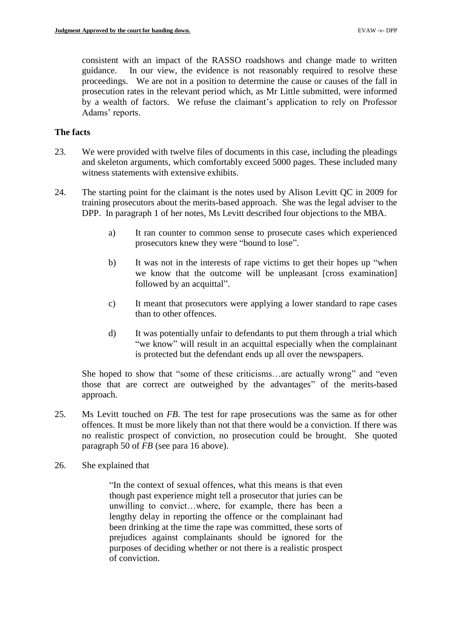consistent with an impact of the RASSO roadshows and change made to written guidance. In our view, the evidence is not reasonably required to resolve these proceedings. We are not in a position to determine the cause or causes of the fall in prosecution rates in the relevant period which, as Mr Little submitted, were informed by a wealth of factors. We refuse the claimant's application to rely on Professor Adams' reports.

### **The facts**

- 23. We were provided with twelve files of documents in this case, including the pleadings and skeleton arguments, which comfortably exceed 5000 pages. These included many witness statements with extensive exhibits.
- 24. The starting point for the claimant is the notes used by Alison Levitt QC in 2009 for training prosecutors about the merits-based approach. She was the legal adviser to the DPP. In paragraph 1 of her notes, Ms Levitt described four objections to the MBA.
	- a) It ran counter to common sense to prosecute cases which experienced prosecutors knew they were "bound to lose".
	- b) It was not in the interests of rape victims to get their hopes up "when we know that the outcome will be unpleasant [cross examination] followed by an acquittal".
	- c) It meant that prosecutors were applying a lower standard to rape cases than to other offences.
	- d) It was potentially unfair to defendants to put them through a trial which "we know" will result in an acquittal especially when the complainant is protected but the defendant ends up all over the newspapers.

 She hoped to show that "some of these criticisms…are actually wrong" and "even those that are correct are outweighed by the advantages" of the merits-based approach.

- 25. Ms Levitt touched on *FB*. The test for rape prosecutions was the same as for other no realistic prospect of conviction, no prosecution could be brought. She quoted paragraph 50 of *FB* (see para 16 above).<br>26. She explained that offences. It must be more likely than not that there would be a conviction. If there was
- 

 though past experience might tell a prosecutor that juries can be unwilling to convict…where, for example, there has been a lengthy delay in reporting the offence or the complainant had been drinking at the time the rape was committed, these sorts of prejudices against complainants should be ignored for the purposes of deciding whether or not there is a realistic prospect "In the context of sexual offences, what this means is that even of conviction.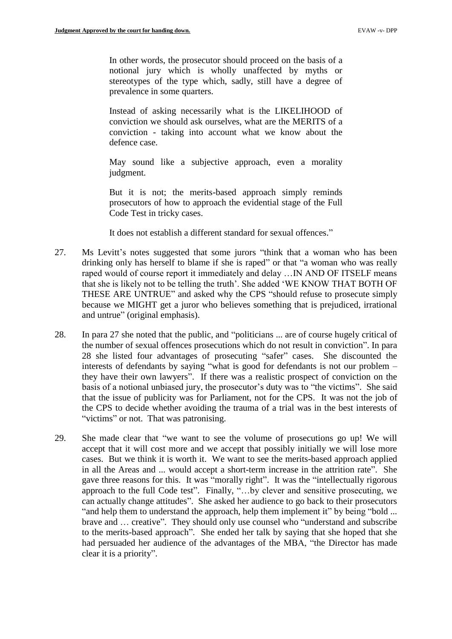In other words, the prosecutor should proceed on the basis of a notional jury which is wholly unaffected by myths or stereotypes of the type which, sadly, still have a degree of prevalence in some quarters.

 conviction we should ask ourselves, what are the MERITS of a Instead of asking necessarily what is the LIKELIHOOD of conviction - taking into account what we know about the defence case.

 May sound like a subjective approach, even a morality judgment.

 But it is not; the merits-based approach simply reminds prosecutors of how to approach the evidential stage of the Full Code Test in tricky cases.

It does not establish a different standard for sexual offences."

- 27. Ms Levitt's notes suggested that some jurors "think that a woman who has been drinking only has herself to blame if she is raped" or that "a woman who was really raped would of course report it immediately and delay …IN AND OF ITSELF means THESE ARE UNTRUE" and asked why the CPS "should refuse to prosecute simply because we MIGHT get a juror who believes something that is prejudiced, irrational that she is likely not to be telling the truth'. She added 'WE KNOW THAT BOTH OF and untrue" (original emphasis).
- 28. In para 27 she noted that the public, and "politicians ... are of course hugely critical of 28 she listed four advantages of prosecuting "safer" cases. She discounted the interests of defendants by saying "what is good for defendants is not our problem – they have their own lawyers". If there was a realistic prospect of conviction on the basis of a notional unbiased jury, the prosecutor's duty was to "the victims". She said that the issue of publicity was for Parliament, not for the CPS. It was not the job of the CPS to decide whether avoiding the trauma of a trial was in the best interests of the number of sexual offences prosecutions which do not result in conviction". In para "victims" or not. That was patronising.
- 29. She made clear that "we want to see the volume of prosecutions go up! We will accept that it will cost more and we accept that possibly initially we will lose more cases. But we think it is worth it. We want to see the merits-based approach applied in all the Areas and ... would accept a short-term increase in the attrition rate". She gave three reasons for this. It was "morally right". It was the "intellectually rigorous can actually change attitudes". She asked her audience to go back to their prosecutors to the merits-based approach". She ended her talk by saying that she hoped that she had persuaded her audience of the advantages of the MBA, "the Director has made approach to the full Code test". Finally, "…by clever and sensitive prosecuting, we "and help them to understand the approach, help them implement it" by being "bold ... brave and … creative". They should only use counsel who "understand and subscribe clear it is a priority".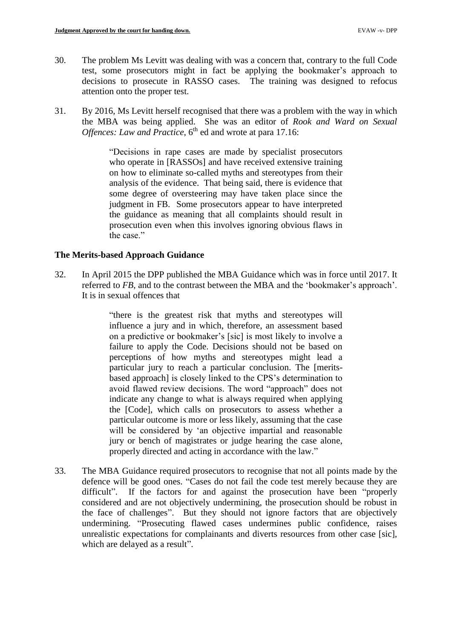- 30. The problem Ms Levitt was dealing with was a concern that, contrary to the full Code test, some prosecutors might in fact be applying the bookmaker's approach to decisions to prosecute in RASSO cases. The training was designed to refocus attention onto the proper test.
- 31. By 2016, Ms Levitt herself recognised that there was a problem with the way in which the MBA was being applied. She was an editor of *Rook and Ward on Sexual Offences: Law and Practice,* 6<sup>th</sup> ed and wrote at para 17.16:

 "Decisions in rape cases are made by specialist prosecutors analysis of the evidence. That being said, there is evidence that some degree of oversteering may have taken place since the judgment in FB. Some prosecutors appear to have interpreted the guidance as meaning that all complaints should result in prosecution even when this involves ignoring obvious flaws in who operate in [RASSOs] and have received extensive training on how to eliminate so-called myths and stereotypes from their the case."

# **The Merits-based Approach Guidance**

32. In April 2015 the DPP published the MBA Guidance which was in force until 2017. It referred to *FB*, and to the contrast between the MBA and the 'bookmaker's approach'. It is in sexual offences that

> influence a jury and in which, therefore, an assessment based on a predictive or bookmaker's [sic] is most likely to involve a failure to apply the Code. Decisions should not be based on particular jury to reach a particular conclusion. The [merits- avoid flawed review decisions. The word "approach" does not indicate any change to what is always required when applying the [Code], which calls on prosecutors to assess whether a particular outcome is more or less likely, assuming that the case will be considered by 'an objective impartial and reasonable jury or bench of magistrates or judge hearing the case alone, "there is the greatest risk that myths and stereotypes will perceptions of how myths and stereotypes might lead a based approach] is closely linked to the CPS's determination to properly directed and acting in accordance with the law."

33. The MBA Guidance required prosecutors to recognise that not all points made by the defence will be good ones. "Cases do not fail the code test merely because they are difficult". If the factors for and against the prosecution have been "properly the face of challenges". But they should not ignore factors that are objectively unrealistic expectations for complainants and diverts resources from other case [sic], considered and are not objectively undermining, the prosecution should be robust in undermining. "Prosecuting flawed cases undermines public confidence, raises which are delayed as a result".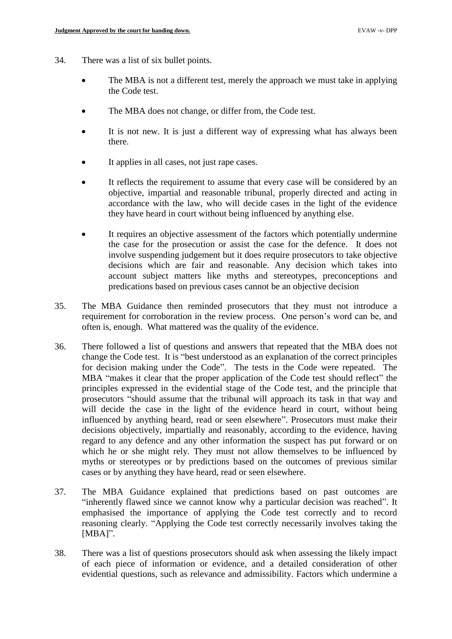- 34. There was a list of six bullet points.
	- The MBA is not a different test, merely the approach we must take in applying the Code test.
	- The MBA does not change, or differ from, the Code test.
	- It is not new. It is just a different way of expressing what has always been there.
	- It applies in all cases, not just rape cases.
	- • It reflects the requirement to assume that every case will be considered by an objective, impartial and reasonable tribunal, properly directed and acting in accordance with the law, who will decide cases in the light of the evidence they have heard in court without being influenced by anything else.
	- It requires an objective assessment of the factors which potentially undermine the case for the prosecution or assist the case for the defence. It does not involve suspending judgement but it does require prosecutors to take objective decisions which are fair and reasonable. Any decision which takes into account subject matters like myths and stereotypes, preconceptions and predications based on previous cases cannot be an objective decision
- 35. The MBA Guidance then reminded prosecutors that they must not introduce a requirement for corroboration in the review process. One person's word can be, and often is, enough. What mattered was the quality of the evidence.
- 36. There followed a list of questions and answers that repeated that the MBA does not MBA "makes it clear that the proper application of the Code test should reflect" the principles expressed in the evidential stage of the Code test, and the principle that prosecutors "should assume that the tribunal will approach its task in that way and will decide the case in the light of the evidence heard in court, without being influenced by anything heard, read or seen elsewhere". Prosecutors must make their decisions objectively, impartially and reasonably, according to the evidence, having regard to any defence and any other information the suspect has put forward or on which he or she might rely. They must not allow themselves to be influenced by myths or stereotypes or by predictions based on the outcomes of previous similar change the Code test. It is "best understood as an explanation of the correct principles for decision making under the Code". The tests in the Code were repeated. The cases or by anything they have heard, read or seen elsewhere.
- "inherently flawed since we cannot know why a particular decision was reached". It reasoning clearly. "Applying the Code test correctly necessarily involves taking the 37. The MBA Guidance explained that predictions based on past outcomes are emphasised the importance of applying the Code test correctly and to record [MBA]".
- 38. There was a list of questions prosecutors should ask when assessing the likely impact evidential questions, such as relevance and admissibility. Factors which undermine a of each piece of information or evidence, and a detailed consideration of other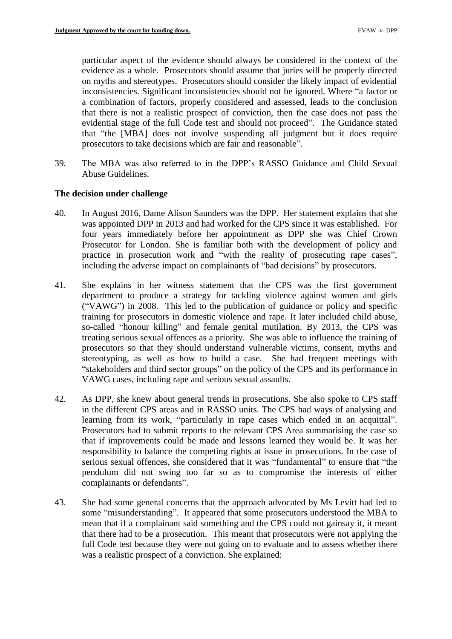evidence as a whole. Prosecutors should assume that juries will be properly directed on myths and stereotypes. Prosecutors should consider the likely impact of evidential inconsistencies. Significant inconsistencies should not be ignored. Where "a factor or that there is not a realistic prospect of conviction, then the case does not pass the evidential stage of the full Code test and should not proceed". The Guidance stated that "the [MBA] does not involve suspending all judgment but it does require particular aspect of the evidence should always be considered in the context of the a combination of factors, properly considered and assessed, leads to the conclusion prosecutors to take decisions which are fair and reasonable".

39. The MBA was also referred to in the DPP's RASSO Guidance and Child Sexual Abuse Guidelines.

### **The decision under challenge**

- was appointed DPP in 2013 and had worked for the CPS since it was established. For four years immediately before her appointment as DPP she was Chief Crown Prosecutor for London. She is familiar both with the development of policy and practice in prosecution work and "with the reality of prosecuting rape cases", 40. In August 2016, Dame Alison Saunders was the DPP. Her statement explains that she including the adverse impact on complainants of "bad decisions" by prosecutors.
- department to produce a strategy for tackling violence against women and girls ("VAWG") in 2008. This led to the publication of guidance or policy and specific training for prosecutors in domestic violence and rape. It later included child abuse, treating serious sexual offences as a priority. She was able to influence the training of stereotyping, as well as how to build a case. She had frequent meetings with 41. She explains in her witness statement that the CPS was the first government so-called "honour killing" and female genital mutilation. By 2013, the CPS was prosecutors so that they should understand vulnerable victims, consent, myths and "stakeholders and third sector groups" on the policy of the CPS and its performance in VAWG cases, including rape and serious sexual assaults.
- 42. As DPP, she knew about general trends in prosecutions. She also spoke to CPS staff in the different CPS areas and in RASSO units. The CPS had ways of analysing and learning from its work, "particularly in rape cases which ended in an acquittal". Prosecutors had to submit reports to the relevant CPS Area summarising the case so that if improvements could be made and lessons learned they would be. It was her responsibility to balance the competing rights at issue in prosecutions. In the case of pendulum did not swing too far so as to compromise the interests of either serious sexual offences, she considered that it was "fundamental" to ensure that "the complainants or defendants".
- 43. She had some general concerns that the approach advocated by Ms Levitt had led to mean that if a complainant said something and the CPS could not gainsay it, it meant that there had to be a prosecution. This meant that prosecutors were not applying the full Code test because they were not going on to evaluate and to assess whether there some "misunderstanding". It appeared that some prosecutors understood the MBA to was a realistic prospect of a conviction. She explained: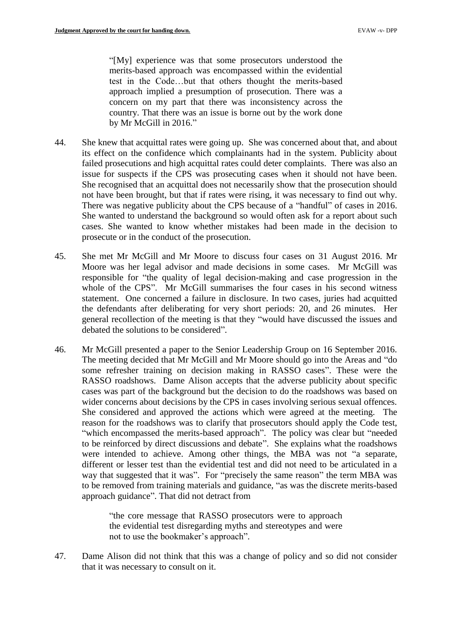approach implied a presumption of prosecution. There was a country. That there was an issue is borne out by the work done "[My] experience was that some prosecutors understood the merits-based approach was encompassed within the evidential test in the Code…but that others thought the merits-based concern on my part that there was inconsistency across the by Mr McGill in 2016."

- 44. She knew that acquittal rates were going up. She was concerned about that, and about its effect on the confidence which complainants had in the system. Publicity about failed prosecutions and high acquittal rates could deter complaints. There was also an issue for suspects if the CPS was prosecuting cases when it should not have been. She recognised that an acquittal does not necessarily show that the prosecution should not have been brought, but that if rates were rising, it was necessary to find out why. There was negative publicity about the CPS because of a "handful" of cases in 2016. She wanted to understand the background so would often ask for a report about such cases. She wanted to know whether mistakes had been made in the decision to prosecute or in the conduct of the prosecution.
- 45. She met Mr McGill and Mr Moore to discuss four cases on 31 August 2016. Mr Moore was her legal advisor and made decisions in some cases. Mr McGill was responsible for "the quality of legal decision-making and case progression in the whole of the CPS". Mr McGill summarises the four cases in his second witness the defendants after deliberating for very short periods: 20, and 26 minutes. Her general recollection of the meeting is that they "would have discussed the issues and statement. One concerned a failure in disclosure. In two cases, juries had acquitted debated the solutions to be considered".
- 46. Mr McGill presented a paper to the Senior Leadership Group on 16 September 2016. The meeting decided that Mr McGill and Mr Moore should go into the Areas and "do RASSO roadshows. Dame Alison accepts that the adverse publicity about specific cases was part of the background but the decision to do the roadshows was based on wider concerns about decisions by the CPS in cases involving serious sexual offences. reason for the roadshows was to clarify that prosecutors should apply the Code test, "which encompassed the merits-based approach". The policy was clear but "needed to be reinforced by direct discussions and debate". She explains what the roadshows different or lesser test than the evidential test and did not need to be articulated in a way that suggested that it was". For "precisely the same reason" the term MBA was some refresher training on decision making in RASSO cases". These were the She considered and approved the actions which were agreed at the meeting. The were intended to achieve. Among other things, the MBA was not "a separate, to be removed from training materials and guidance, "as was the discrete merits-based approach guidance". That did not detract from

 "the core message that RASSO prosecutors were to approach the evidential test disregarding myths and stereotypes and were not to use the bookmaker's approach".

47. Dame Alison did not think that this was a change of policy and so did not consider that it was necessary to consult on it.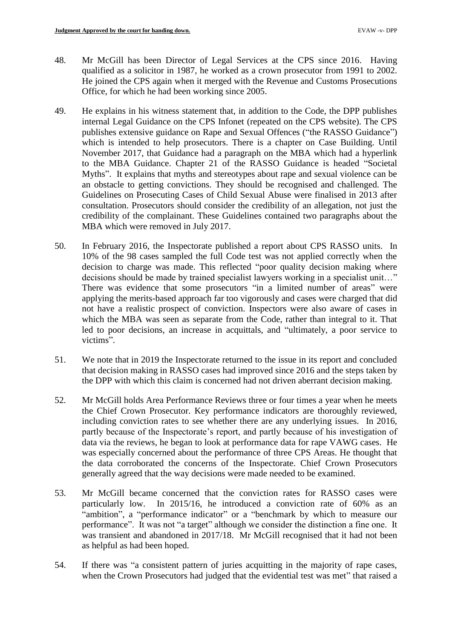- 48. Mr McGill has been Director of Legal Services at the CPS since 2016. Having qualified as a solicitor in 1987, he worked as a crown prosecutor from 1991 to 2002. He joined the CPS again when it merged with the Revenue and Customs Prosecutions Office, for which he had been working since 2005.
- internal Legal Guidance on the CPS Infonet (repeated on the CPS website). The CPS publishes extensive guidance on Rape and Sexual Offences ("the RASSO Guidance") which is intended to help prosecutors. There is a chapter on Case Building. Until November 2017, that Guidance had a paragraph on the MBA which had a hyperlink to the MBA Guidance. Chapter 21 of the RASSO Guidance is headed "Societal Myths". It explains that myths and stereotypes about rape and sexual violence can be an obstacle to getting convictions. They should be recognised and challenged. The Guidelines on Prosecuting Cases of Child Sexual Abuse were finalised in 2013 after credibility of the complainant. These Guidelines contained two paragraphs about the 49. He explains in his witness statement that, in addition to the Code, the DPP publishes consultation. Prosecutors should consider the credibility of an allegation, not just the MBA which were removed in July 2017.
- 50. In February 2016, the Inspectorate published a report about CPS RASSO units. In 10% of the 98 cases sampled the full Code test was not applied correctly when the decision to charge was made. This reflected "poor quality decision making where decisions should be made by trained specialist lawyers working in a specialist unit…" There was evidence that some prosecutors "in a limited number of areas" were not have a realistic prospect of conviction. Inspectors were also aware of cases in which the MBA was seen as separate from the Code, rather than integral to it. That led to poor decisions, an increase in acquittals, and "ultimately, a poor service to applying the merits-based approach far too vigorously and cases were charged that did victims".
- 51. We note that in 2019 the Inspectorate returned to the issue in its report and concluded that decision making in RASSO cases had improved since 2016 and the steps taken by the DPP with which this claim is concerned had not driven aberrant decision making.
- the Chief Crown Prosecutor. Key performance indicators are thoroughly reviewed, including conviction rates to see whether there are any underlying issues. In 2016, partly because of the Inspectorate's report, and partly because of his investigation of data via the reviews, he began to look at performance data for rape VAWG cases. He was especially concerned about the performance of three CPS Areas. He thought that the data corroborated the concerns of the Inspectorate. Chief Crown Prosecutors 52. Mr McGill holds Area Performance Reviews three or four times a year when he meets generally agreed that the way decisions were made needed to be examined.
- particularly low. In 2015/16, he introduced a conviction rate of 60% as an "ambition", a "performance indicator" or a "benchmark by which to measure our was transient and abandoned in 2017/18. Mr McGill recognised that it had not been 53. Mr McGill became concerned that the conviction rates for RASSO cases were performance". It was not "a target" although we consider the distinction a fine one. It as helpful as had been hoped.
- 54. If there was "a consistent pattern of juries acquitting in the majority of rape cases, when the Crown Prosecutors had judged that the evidential test was met" that raised a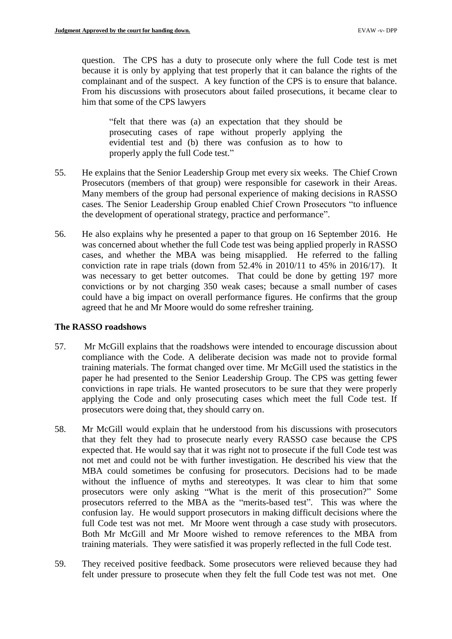question. The CPS has a duty to prosecute only where the full Code test is met because it is only by applying that test properly that it can balance the rights of the complainant and of the suspect. A key function of the CPS is to ensure that balance. From his discussions with prosecutors about failed prosecutions, it became clear to him that some of the CPS lawyers

 "felt that there was (a) an expectation that they should be prosecuting cases of rape without properly applying the evidential test and (b) there was confusion as to how to properly apply the full Code test."

- 55. He explains that the Senior Leadership Group met every six weeks. The Chief Crown Prosecutors (members of that group) were responsible for casework in their Areas. Many members of the group had personal experience of making decisions in RASSO cases. The Senior Leadership Group enabled Chief Crown Prosecutors "to influence the development of operational strategy, practice and performance".
- 56. He also explains why he presented a paper to that group on 16 September 2016. He cases, and whether the MBA was being misapplied. He referred to the falling was necessary to get better outcomes. That could be done by getting 197 more convictions or by not charging 350 weak cases; because a small number of cases could have a big impact on overall performance figures. He confirms that the group was concerned about whether the full Code test was being applied properly in RASSO conviction rate in rape trials (down from 52.4% in 2010/11 to 45% in 2016/17). It agreed that he and Mr Moore would do some refresher training.

# **The RASSO roadshows**

- compliance with the Code. A deliberate decision was made not to provide formal paper he had presented to the Senior Leadership Group. The CPS was getting fewer convictions in rape trials. He wanted prosecutors to be sure that they were properly applying the Code and only prosecuting cases which meet the full Code test. If 57. Mr McGill explains that the roadshows were intended to encourage discussion about training materials. The format changed over time. Mr McGill used the statistics in the prosecutors were doing that, they should carry on.
- that they felt they had to prosecute nearly every RASSO case because the CPS expected that. He would say that it was right not to prosecute if the full Code test was MBA could sometimes be confusing for prosecutors. Decisions had to be made prosecutors were only asking "What is the merit of this prosecution?" Some prosecutors referred to the MBA as the "merits-based test". This was where the confusion lay. He would support prosecutors in making difficult decisions where the full Code test was not met. Mr Moore went through a case study with prosecutors. Both Mr McGill and Mr Moore wished to remove references to the MBA from 58. Mr McGill would explain that he understood from his discussions with prosecutors not met and could not be with further investigation. He described his view that the without the influence of myths and stereotypes. It was clear to him that some training materials. They were satisfied it was properly reflected in the full Code test.
- 59. They received positive feedback. Some prosecutors were relieved because they had felt under pressure to prosecute when they felt the full Code test was not met. One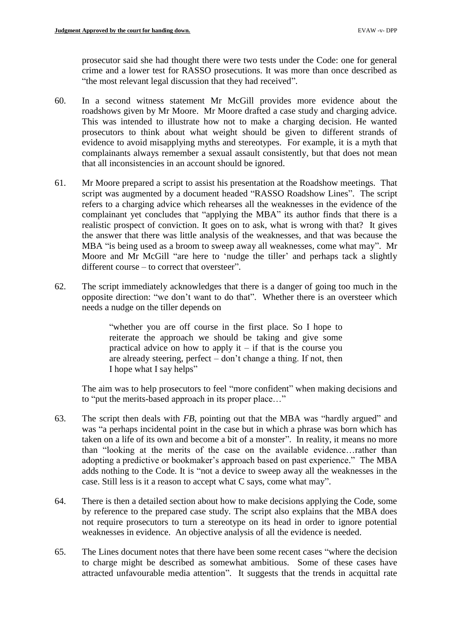prosecutor said she had thought there were two tests under the Code: one for general crime and a lower test for RASSO prosecutions. It was more than once described as "the most relevant legal discussion that they had received".

- 60. In a second witness statement Mr McGill provides more evidence about the roadshows given by Mr Moore. Mr Moore drafted a case study and charging advice. This was intended to illustrate how not to make a charging decision. He wanted evidence to avoid misapplying myths and stereotypes. For example, it is a myth that prosecutors to think about what weight should be given to different strands of complainants always remember a sexual assault consistently, but that does not mean that all inconsistencies in an account should be ignored.
- 61. Mr Moore prepared a script to assist his presentation at the Roadshow meetings. That script was augmented by a document headed "RASSO Roadshow Lines". The script refers to a charging advice which rehearses all the weaknesses in the evidence of the complainant yet concludes that "applying the MBA" its author finds that there is a realistic prospect of conviction. It goes on to ask, what is wrong with that? It gives the answer that there was little analysis of the weaknesses, and that was because the MBA "is being used as a broom to sweep away all weaknesses, come what may". Mr Moore and Mr McGill "are here to 'nudge the tiller' and perhaps tack a slightly different course – to correct that oversteer".
- 62. The script immediately acknowledges that there is a danger of going too much in the opposite direction: "we don't want to do that". Whether there is an oversteer which needs a nudge on the tiller depends on

 "whether you are off course in the first place. So I hope to reiterate the approach we should be taking and give some practical advice on how to apply it  $-$  if that is the course you are already steering, perfect – don't change a thing. If not, then I hope what I say helps"

 The aim was to help prosecutors to feel "more confident" when making decisions and to "put the merits-based approach in its proper place…"

- was "a perhaps incidental point in the case but in which a phrase was born which has taken on a life of its own and become a bit of a monster". In reality, it means no more than "looking at the merits of the case on the available evidence…rather than adopting a predictive or bookmaker's approach based on past experience." The MBA adds nothing to the Code. It is "not a device to sweep away all the weaknesses in the 63. The script then deals with *FB*, pointing out that the MBA was "hardly argued" and case. Still less is it a reason to accept what C says, come what may".
- 64. There is then a detailed section about how to make decisions applying the Code, some by reference to the prepared case study. The script also explains that the MBA does not require prosecutors to turn a stereotype on its head in order to ignore potential weaknesses in evidence. An objective analysis of all the evidence is needed.
- 65. The Lines document notes that there have been some recent cases "where the decision to charge might be described as somewhat ambitious. Some of these cases have attracted unfavourable media attention". It suggests that the trends in acquittal rate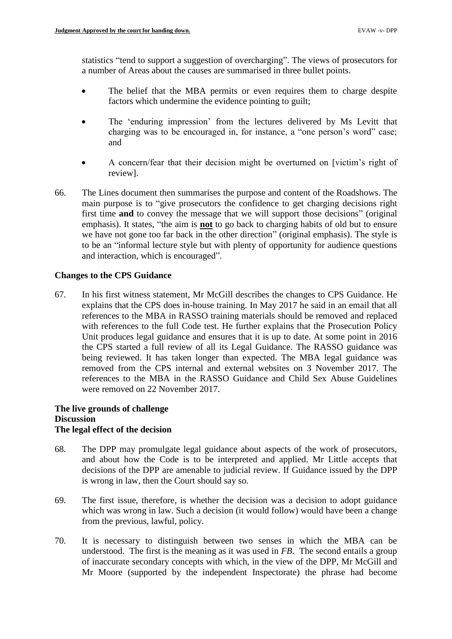statistics "tend to support a suggestion of overcharging". The views of prosecutors for a number of Areas about the causes are summarised in three bullet points.

- The belief that the MBA permits or even requires them to charge despite factors which undermine the evidence pointing to guilt;
- The 'enduring impression' from the lectures delivered by Ms Levitt that charging was to be encouraged in, for instance, a "one person's word" case; and
- A concern/fear that their decision might be overturned on [victim's right of review].
- main purpose is to "give prosecutors the confidence to get charging decisions right first time **and** to convey the message that we will support those decisions" (original emphasis). It states, "the aim is **not** to go back to charging habits of old but to ensure we have not gone too far back in the other direction" (original emphasis). The style is to be an "informal lecture style but with plenty of opportunity for audience questions 66. The Lines document then summarises the purpose and content of the Roadshows. The and interaction, which is encouraged".

# **Changes to the CPS Guidance**

 explains that the CPS does in-house training. In May 2017 he said in an email that all with references to the full Code test. He further explains that the Prosecution Policy Unit produces legal guidance and ensures that it is up to date. At some point in 2016 the CPS started a full review of all its Legal Guidance. The RASSO guidance was being reviewed. It has taken longer than expected. The MBA legal guidance was removed from the CPS internal and external websites on 3 November 2017. The references to the MBA in the RASSO Guidance and Child Sex Abuse Guidelines 67. In his first witness statement, Mr McGill describes the changes to CPS Guidance. He references to the MBA in RASSO training materials should be removed and replaced were removed on 22 November 2017.

# **The live grounds of challenge Discussion The legal effect of the decision**

- 68. The DPP may promulgate legal guidance about aspects of the work of prosecutors, and about how the Code is to be interpreted and applied. Mr Little accepts that decisions of the DPP are amenable to judicial review. If Guidance issued by the DPP is wrong in law, then the Court should say so.
- 69. The first issue, therefore, is whether the decision was a decision to adopt guidance which was wrong in law. Such a decision (it would follow) would have been a change from the previous, lawful, policy.
- 70. It is necessary to distinguish between two senses in which the MBA can be understood. The first is the meaning as it was used in *FB*. The second entails a group of inaccurate secondary concepts with which, in the view of the DPP, Mr McGill and Mr Moore (supported by the independent Inspectorate) the phrase had become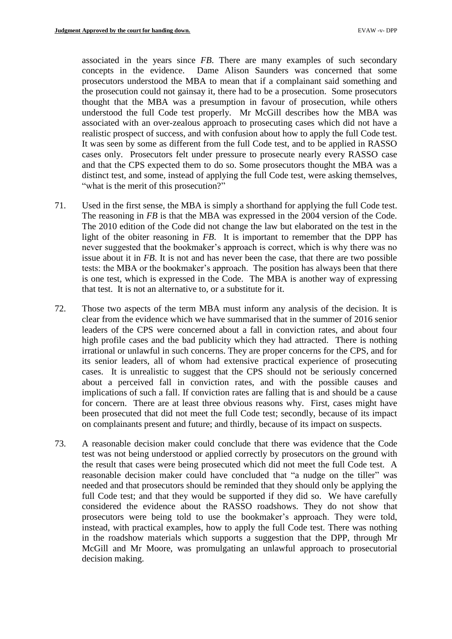associated in the years since *FB*. There are many examples of such secondary concepts in the evidence. Dame Alison Saunders was concerned that some prosecutors understood the MBA to mean that if a complainant said something and the prosecution could not gainsay it, there had to be a prosecution. Some prosecutors associated with an over-zealous approach to prosecuting cases which did not have a It was seen by some as different from the full Code test, and to be applied in RASSO cases only. Prosecutors felt under pressure to prosecute nearly every RASSO case distinct test, and some, instead of applying the full Code test, were asking themselves, thought that the MBA was a presumption in favour of prosecution, while others understood the full Code test properly. Mr McGill describes how the MBA was realistic prospect of success, and with confusion about how to apply the full Code test. and that the CPS expected them to do so. Some prosecutors thought the MBA was a "what is the merit of this prosecution?"

- 71. Used in the first sense, the MBA is simply a shorthand for applying the full Code test. The reasoning in *FB* is that the MBA was expressed in the 2004 version of the Code. The 2010 edition of the Code did not change the law but elaborated on the test in the never suggested that the bookmaker's approach is correct, which is why there was no issue about it in *FB*. It is not and has never been the case, that there are two possible is one test, which is expressed in the Code. The MBA is another way of expressing light of the obiter reasoning in *FB*. It is important to remember that the DPP has tests: the MBA or the bookmaker's approach. The position has always been that there that test. It is not an alternative to, or a substitute for it.
- 72. Those two aspects of the term MBA must inform any analysis of the decision. It is clear from the evidence which we have summarised that in the summer of 2016 senior leaders of the CPS were concerned about a fall in conviction rates, and about four high profile cases and the bad publicity which they had attracted. There is nothing irrational or unlawful in such concerns. They are proper concerns for the CPS, and for its senior leaders, all of whom had extensive practical experience of prosecuting cases. It is unrealistic to suggest that the CPS should not be seriously concerned implications of such a fall. If conviction rates are falling that is and should be a cause for concern. There are at least three obvious reasons why. First, cases might have been prosecuted that did not meet the full Code test; secondly, because of its impact about a perceived fall in conviction rates, and with the possible causes and on complainants present and future; and thirdly, because of its impact on suspects.
- test was not being understood or applied correctly by prosecutors on the ground with the result that cases were being prosecuted which did not meet the full Code test. A reasonable decision maker could have concluded that "a nudge on the tiller" was needed and that prosecutors should be reminded that they should only be applying the full Code test; and that they would be supported if they did so. We have carefully prosecutors were being told to use the bookmaker's approach. They were told, McGill and Mr Moore, was promulgating an unlawful approach to prosecutorial 73. A reasonable decision maker could conclude that there was evidence that the Code considered the evidence about the RASSO roadshows. They do not show that instead, with practical examples, how to apply the full Code test. There was nothing in the roadshow materials which supports a suggestion that the DPP, through Mr decision making.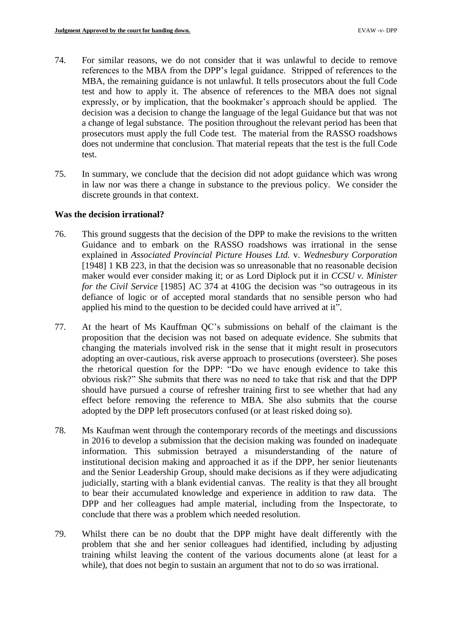- MBA, the remaining guidance is not unlawful. It tells prosecutors about the full Code test and how to apply it. The absence of references to the MBA does not signal decision was a decision to change the language of the legal Guidance but that was not prosecutors must apply the full Code test. The material from the RASSO roadshows does not undermine that conclusion. That material repeats that the test is the full Code 74. For similar reasons, we do not consider that it was unlawful to decide to remove references to the MBA from the DPP's legal guidance. Stripped of references to the expressly, or by implication, that the bookmaker's approach should be applied. The a change of legal substance. The position throughout the relevant period has been that test.
- 75. In summary, we conclude that the decision did not adopt guidance which was wrong in law nor was there a change in substance to the previous policy. We consider the discrete grounds in that context.

### **Was the decision irrational?**

- 76. This ground suggests that the decision of the DPP to make the revisions to the written [1948] 1 KB 223, in that the decision was so unreasonable that no reasonable decision defiance of logic or of accepted moral standards that no sensible person who had Guidance and to embark on the RASSO roadshows was irrational in the sense explained in *Associated Provincial Picture Houses Ltd.* v. *Wednesbury Corporation*  maker would ever consider making it; or as Lord Diplock put it in *CCSU v. Minister for the Civil Service* [1985] AC 374 at 410G the decision was "so outrageous in its applied his mind to the question to be decided could have arrived at it".
- 77. At the heart of Ms Kauffman QC's submissions on behalf of the claimant is the changing the materials involved risk in the sense that it might result in prosecutors adopting an over-cautious, risk averse approach to prosecutions (oversteer). She poses the rhetorical question for the DPP: "Do we have enough evidence to take this obvious risk?" She submits that there was no need to take that risk and that the DPP should have pursued a course of refresher training first to see whether that had any effect before removing the reference to MBA. She also submits that the course proposition that the decision was not based on adequate evidence. She submits that adopted by the DPP left prosecutors confused (or at least risked doing so).
- 78. Ms Kaufman went through the contemporary records of the meetings and discussions information. This submission betrayed a misunderstanding of the nature of and the Senior Leadership Group, should make decisions as if they were adjudicating judicially, starting with a blank evidential canvas. The reality is that they all brought to bear their accumulated knowledge and experience in addition to raw data. The in 2016 to develop a submission that the decision making was founded on inadequate institutional decision making and approached it as if the DPP, her senior lieutenants DPP and her colleagues had ample material, including from the Inspectorate, to conclude that there was a problem which needed resolution.
- 79. Whilst there can be no doubt that the DPP might have dealt differently with the problem that she and her senior colleagues had identified, including by adjusting training whilst leaving the content of the various documents alone (at least for a while), that does not begin to sustain an argument that not to do so was irrational.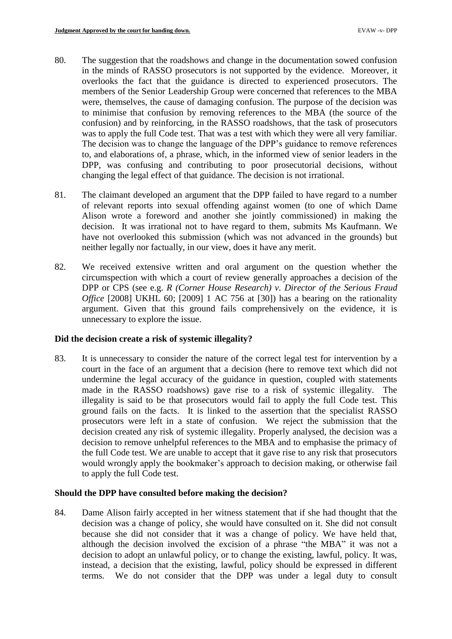- were, themselves, the cause of damaging confusion. The purpose of the decision was to minimise that confusion by removing references to the MBA (the source of the confusion) and by reinforcing, in the RASSO roadshows, that the task of prosecutors was to apply the full Code test. That was a test with which they were all very familiar. The decision was to change the language of the DPP's guidance to remove references 80. The suggestion that the roadshows and change in the documentation sowed confusion in the minds of RASSO prosecutors is not supported by the evidence. Moreover, it overlooks the fact that the guidance is directed to experienced prosecutors. The members of the Senior Leadership Group were concerned that references to the MBA to, and elaborations of, a phrase, which, in the informed view of senior leaders in the DPP, was confusing and contributing to poor prosecutorial decisions, without changing the legal effect of that guidance. The decision is not irrational.
- 81. The claimant developed an argument that the DPP failed to have regard to a number of relevant reports into sexual offending against women (to one of which Dame Alison wrote a foreword and another she jointly commissioned) in making the decision. It was irrational not to have regard to them, submits Ms Kaufmann. We have not overlooked this submission (which was not advanced in the grounds) but neither legally nor factually, in our view, does it have any merit.
- 82. We received extensive written and oral argument on the question whether the circumspection with which a court of review generally approaches a decision of the DPP or CPS (see e.g. *R (Corner House Research) v. Director of the Serious Fraud Office* [2008] UKHL 60; [2009] 1 AC 756 at [30]) has a bearing on the rationality argument. Given that this ground fails comprehensively on the evidence, it is unnecessary to explore the issue.

# **Did the decision create a risk of systemic illegality?**

83. It is unnecessary to consider the nature of the correct legal test for intervention by a made in the RASSO roadshows) gave rise to a risk of systemic illegality. The illegality is said to be that prosecutors would fail to apply the full Code test. This ground fails on the facts. It is linked to the assertion that the specialist RASSO prosecutors were left in a state of confusion. We reject the submission that the decision to remove unhelpful references to the MBA and to emphasise the primacy of the full Code test. We are unable to accept that it gave rise to any risk that prosecutors would wrongly apply the bookmaker's approach to decision making, or otherwise fail court in the face of an argument that a decision (here to remove text which did not undermine the legal accuracy of the guidance in question, coupled with statements decision created any risk of systemic illegality. Properly analysed, the decision was a to apply the full Code test.

#### **Should the DPP have consulted before making the decision?**

 decision was a change of policy, she would have consulted on it. She did not consult because she did not consider that it was a change of policy. We have held that, although the decision involved the excision of a phrase "the MBA" it was not a decision to adopt an unlawful policy, or to change the existing, lawful, policy. It was, instead, a decision that the existing, lawful, policy should be expressed in different terms. We do not consider that the DPP was under a legal duty to consult 84. Dame Alison fairly accepted in her witness statement that if she had thought that the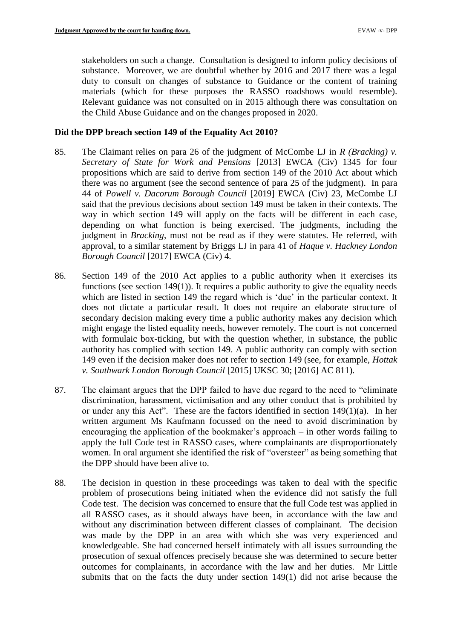substance. Moreover, we are doubtful whether by 2016 and 2017 there was a legal duty to consult on changes of substance to Guidance or the content of training stakeholders on such a change. Consultation is designed to inform policy decisions of materials (which for these purposes the RASSO roadshows would resemble). Relevant guidance was not consulted on in 2015 although there was consultation on the Child Abuse Guidance and on the changes proposed in 2020.

### **Did the DPP breach section 149 of the Equality Act 2010?**

- 85. The Claimant relies on para 26 of the judgment of McCombe LJ in *R (Bracking) v. Secretary of State for Work and Pensions* [2013] EWCA (Civ) 1345 for four there was no argument (see the second sentence of para 25 of the judgment). In para way in which section 149 will apply on the facts will be different in each case, judgment in *Bracking*, must not be read as if they were statutes. He referred, with approval, to a similar statement by Briggs LJ in para 41 of *Haque v. Hackney London*  propositions which are said to derive from section 149 of the 2010 Act about which 44 of *Powell v. Dacorum Borough Council* [2019] EWCA (Civ) 23, McCombe LJ said that the previous decisions about section 149 must be taken in their contexts. The depending on what function is being exercised. The judgments, including the *Borough Council* [2017] EWCA (Civ) 4.
- 86. Section 149 of the 2010 Act applies to a public authority when it exercises its functions (see section 149(1)). It requires a public authority to give the equality needs does not dictate a particular result. It does not require an elaborate structure of secondary decision making every time a public authority makes any decision which might engage the listed equality needs, however remotely. The court is not concerned with formulaic box-ticking, but with the question whether, in substance, the public authority has complied with section 149. A public authority can comply with section which are listed in section 149 the regard which is 'due' in the particular context. It 149 even if the decision maker does not refer to section 149 (see, for example, *Hottak v. Southwark London Borough Council* [2015] UKSC 30; [2016] AC 811).
- 87. The claimant argues that the DPP failed to have due regard to the need to "eliminate or under any this Act". These are the factors identified in section 149(1)(a). In her encouraging the application of the bookmaker's approach – in other words failing to discrimination, harassment, victimisation and any other conduct that is prohibited by written argument Ms Kaufmann focussed on the need to avoid discrimination by apply the full Code test in RASSO cases, where complainants are disproportionately women. In oral argument she identified the risk of "oversteer" as being something that the DPP should have been alive to.
- problem of prosecutions being initiated when the evidence did not satisfy the full all RASSO cases, as it should always have been, in accordance with the law and without any discrimination between different classes of complainant. The decision was made by the DPP in an area with which she was very experienced and knowledgeable. She had concerned herself intimately with all issues surrounding the prosecution of sexual offences precisely because she was determined to secure better 88. The decision in question in these proceedings was taken to deal with the specific Code test. The decision was concerned to ensure that the full Code test was applied in outcomes for complainants, in accordance with the law and her duties. Mr Little submits that on the facts the duty under section 149(1) did not arise because the